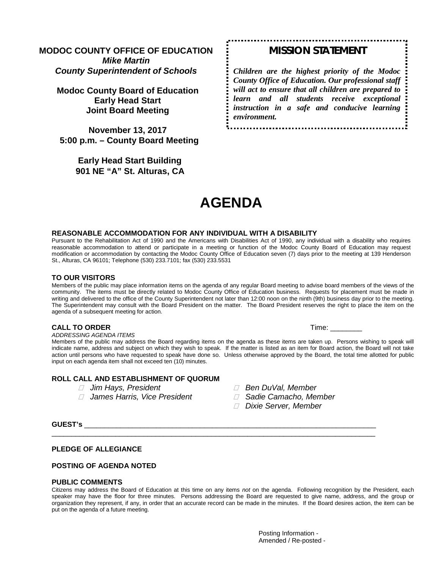## **MODOC COUNTY OFFICE OF EDUCATION** *Mike Martin*

*County Superintendent of Schools*

**Modoc County Board of Education Early Head Start Joint Board Meeting**

**November 13, 2017 5:00 p.m. – County Board Meeting**

> **Early Head Start Building 901 NE "A" St. Alturas, CA**

# *MISSION STATEMENT*

*Children are the highest priority of the Modoc County Office of Education. Our professional staff will act to ensure that all children are prepared to learn and all students receive exceptional instruction in a safe and conducive learning environment.*

# **AGENDA**

#### **REASONABLE ACCOMMODATION FOR ANY INDIVIDUAL WITH A DISABILITY**

Pursuant to the Rehabilitation Act of 1990 and the Americans with Disabilities Act of 1990, any individual with a disability who requires reasonable accommodation to attend or participate in a meeting or function of the Modoc County Board of Education may request modification or accommodation by contacting the Modoc County Office of Education seven (7) days prior to the meeting at 139 Henderson St., Alturas, CA 96101; Telephone (530) 233.7101; fax (530) 233.5531

#### **TO OUR VISITORS**

Members of the public may place information items on the agenda of any regular Board meeting to advise board members of the views of the community. The items must be directly related to Modoc County Office of Education business. Requests for placement must be made in writing and delivered to the office of the County Superintendent not later than 12:00 noon on the ninth (9th) business day prior to the meeting. The Superintendent may consult with the Board President on the matter. The Board President reserves the right to place the item on the agenda of a subsequent meeting for action.

#### **CALL TO ORDER** Time: \_\_\_\_\_\_\_\_

*ADDRESSING AGENDA ITEMS*

Members of the public may address the Board regarding items on the agenda as these items are taken up. Persons wishing to speak will indicate name, address and subject on which they wish to speak. If the matter is listed as an item for Board action, the Board will not take action until persons who have requested to speak have done so. Unless otherwise approved by the Board, the total time allotted for public input on each agenda item shall not exceed ten (10) minutes.

#### **ROLL CALL AND ESTABLISHMENT OF QUORUM**

- 
- *James Harris, Vice President Sadie Camacho, Member*
- *Jim Hays, President Ben DuVal, Member*
	-
	- *Dixie Server, Member*

#### **GUEST's** \_\_\_\_\_\_\_\_\_\_\_\_\_\_\_\_\_\_\_\_\_\_\_\_\_\_\_\_\_\_\_\_\_\_\_\_\_\_\_\_\_\_\_\_\_\_\_\_\_\_\_\_\_\_\_\_\_\_\_\_\_\_\_\_\_\_\_\_\_\_\_\_\_

#### **PLEDGE OF ALLEGIANCE**

#### **POSTING OF AGENDA NOTED**

#### **PUBLIC COMMENTS**

Citizens may address the Board of Education at this time on any items *not* on the agenda. Following recognition by the President, each speaker may have the floor for three minutes. Persons addressing the Board are requested to give name, address, and the group or organization they represent, if any, in order that an accurate record can be made in the minutes. If the Board desires action, the item can be put on the agenda of a future meeting.

\_\_\_\_\_\_\_\_\_\_\_\_\_\_\_\_\_\_\_\_\_\_\_\_\_\_\_\_\_\_\_\_\_\_\_\_\_\_\_\_\_\_\_\_\_\_\_\_\_\_\_\_\_\_\_\_\_\_\_\_\_\_\_\_\_\_\_\_\_\_\_\_\_\_\_\_\_\_\_\_\_

Posting Information - Amended / Re-posted -